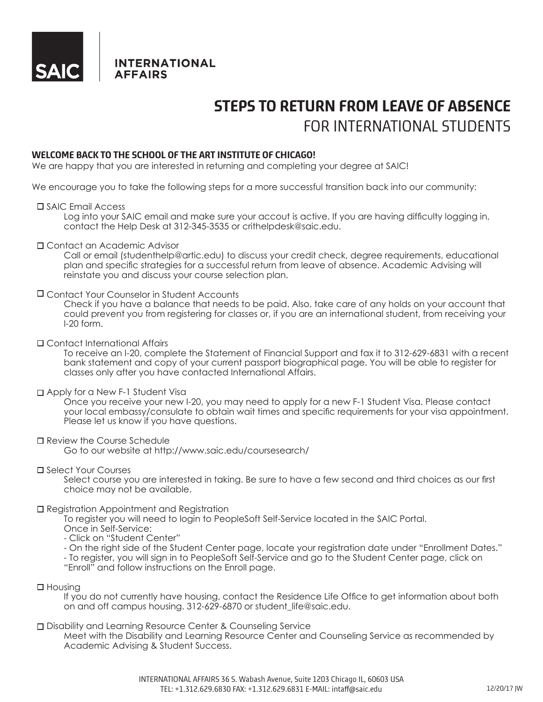

**INTERNATIONAL AFFAIRS** 

# **STEPS TO RETURN FROM LEAVE OF ABSENCE** FOR INTERNATIONAL STUDENTS

# **WELCOME BACK TO THE SCHOOL OF THE ART INSTITUTE OF CHICAGO!**

We are happy that you are interested in returning and completing your degree at SAIC!

We encourage you to take the following steps for a more successful transition back into our community:

#### SAIC Email Access

 Log into your SAIC email and make sure your accout is active. If you are having difficulty logging in, contact the Help Desk at 312-345-3535 or crithelpdesk@saic.edu.

# Contact an Academic Advisor

 Call or email (studenthelp@artic.edu) to discuss your credit check, degree requirements, educational plan and specific strategies for a successful return from leave of absence. Academic Advising will reinstate you and discuss your course selection plan.

#### Contact Your Counselor in Student Accounts

 Check if you have a balance that needs to be paid. Also, take care of any holds on your account that could prevent you from registering for classes or, if you are an international student, from receiving your I-20 form.

# Contact International Affairs

 To receive an I-20, complete the Statement of Financial Support and fax it to 312-629-6831 with a recent bank statement and copy of your current passport biographical page. You will be able to register for classes only after you have contacted International Affairs.

# □ Apply for a New F-1 Student Visa

 Once you receive your new I-20, you may need to apply for a new F-1 Student Visa. Please contact your local embassy/consulate to obtain wait times and specific requirements for your visa appointment. Please let us know if you have questions.

# □ Review the Course Schedule

Go to our website at http://www.saic.edu/coursesearch/

#### Select Your Courses

 Select course you are interested in taking. Be sure to have a few second and third choices as our first choice may not be available.

# □ Registration Appointment and Registration

 To register you will need to login to PeopleSoft Self-Service located in the SAIC Portal.

Once in Self-Service:

- Click on "Student Center"
- On the right side of the Student Center page, locate your registration date under "Enrollment Dates."
- To register, you will sign in to PeopleSoft Self-Service and go to the Student Center page, click on
- "Enroll" and follow instructions on the Enroll page.

# $\square$  Housing

 If you do not currently have housing, contact the Residence Life Office to get information about both on and off campus housing. 312-629-6870 or student life@saic.edu.

#### □ Disability and Learning Resource Center & Counseling Service

Meet with the Disability and Learning Resource Center and Counseling Service as recommended by Academic Advising & Student Success.